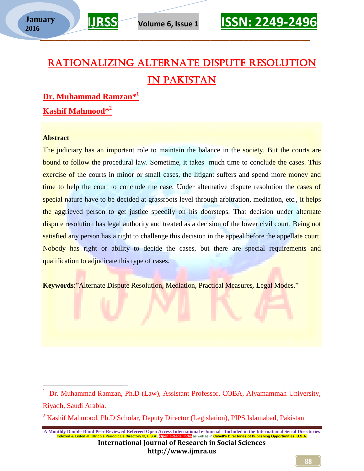### Rationalizing Alternate Dispute Resolution in Pakistan

**Dr. Muhammad Ramzan\* 1 Kashif Mahmood\* 2**

#### **Abstract**

The judiciary has an important role to maintain the balance in the society. But the courts are bound to follow the procedural law. Sometime, it takes much time to conclude the cases. This exercise of the courts in minor or small cases, the litigant suffers and spend more money and time to help the court to conclude the case. Under alternative dispute resolution the cases of special nature have to be decided at grassroots level through arbitration, mediation, etc., it helps the aggrieved person to get justice speedily on his doorsteps. That decision under alternate dispute resolution has legal authority and treated as a decision of the lower civil court. Being not satisfied any person has a right to challenge this decision in the appeal before the appellate court. Nobody has right or ability to decide the cases, but there are special requirements and qualification to adjudicate this type of cases.

**Keywords**:"Alternate Dispute Resolution, Mediation, Practical Measures*,* Legal Modes."



<sup>&</sup>lt;sup>2</sup> Kashif Mahmood, Ph.D Scholar, Deputy Director (Legislation), PIPS, Islamabad, Pakistan

**A Monthly Double-Blind Peer Reviewed Refereed Open Access International e-Journal - Included in the International Serial Directories 1dia** as well as in <mark>Cabell's D</mark>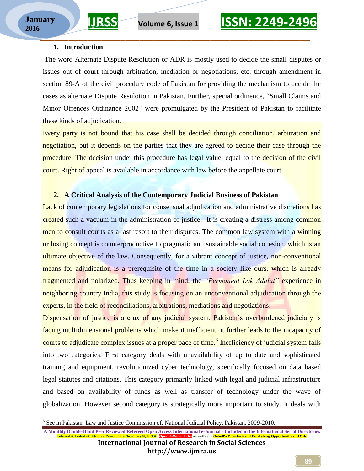$\overline{a}$ 

#### **1. Introduction**

The word Alternate Dispute Resolution or ADR is mostly used to decide the small disputes or issues out of court through arbitration, mediation or negotiations, etc. through amendment in section 89-A of the civil procedure code of Pakistan for providing the mechanism to decide the cases as alternate Dispute Resulotion in Pakistan. Further, special ordinence, "Small Claims and Minor Offences Ordinance 2002" were promulgated by the President of Pakistan to facilitate these kinds of adjudication.

Every party is not bound that his case shall be decided through conciliation, arbitration and negotiation, but it depends on the parties that they are agreed to decide their case through the procedure. The decision under this procedure has legal value, equal to the decision of the civil court. Right of appeal is available in accordance with law before the appellate court.

### **2. A Critical Analysis of the Contemporary Judicial Business of Pakistan**

Lack of contemporary legislations for consensual adjudication and administrative discretions has created such a vacuum in the administration of justice. It is creating a distress among common men to consult courts as a last resort to their disputes. The common law system with a winning or losing concept is counterproductive to pragmatic and sustainable social cohesion, which is an ultimate objective of the law. Consequently, for a vibrant concept of justice, non-conventional means for adjudication is a prerequisite of the time in a society like ours, which is already fragmented and polarized. Thus keeping in mind, the *"Permanent Lok Adalat"* experience in neighboring country India, this study is focusing on an unconventional adjudication through the experts, in the field of reconciliations, arbitrations, mediations and negotiations.

Dispensation of justice is a crux of any judicial system. Pakistan's overburdened judiciary is facing multidimensional problems which make it inefficient; it further leads to the incapacity of courts to adjudicate complex issues at a proper pace of time.<sup>3</sup> Inefficiency of judicial system falls into two categories. First category deals with unavailability of up to date and sophisticated training and equipment, revolutionized cyber technology, specifically focused on data based legal statutes and citations. This category primarily linked with legal and judicial infrastructure and based on availability of funds as well as transfer of technology under the wave of globalization. However second category is strategically more important to study. It deals with

**http://www.ijmra.us**

<sup>&</sup>lt;sup>3</sup> See in Pakistan, Law and Justice Commission of. National Judicial Policy. Pakistan. 2009-2010.

**A Monthly Double-Blind Peer Reviewed Refereed Open Access International e-Journal - Included in the International Serial Directories Iamber B. A.S.A., U.S.A., Open Jamell's Directory Open Directory Open Directory Open Director International Journal of Research in Social Sciences**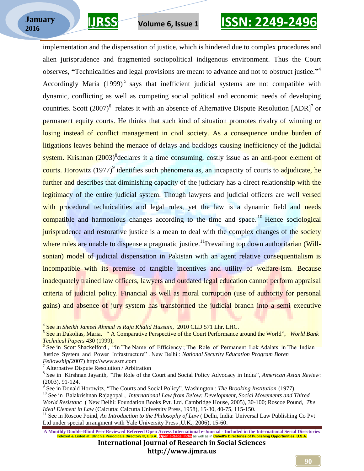## **IJRSS Volume 6, Issue 1 ISSN: 2249-2496**

implementation and the dispensation of justice, which is hindered due to complex procedures and alien jurisprudence and fragmented sociopolitical indigenous environment. Thus the Court observes, **"**Technicalities and legal provisions are meant to advance and not to obstruct justice.**"** 4 Accordingly Maria  $(1999)^5$  says that inefficient judicial systems are not compatible with dynamic, conflicting as well as competing social political and economic needs of developing countries. Scott  $(2007)^6$  relates it with an absence of Alternative Dispute Resolution [ADR]<sup>7</sup> or permanent equity courts. He thinks that such kind of situation promotes rivalry of winning or losing instead of conflict management in civil society. As a consequence undue burden of litigations leaves behind the menace of delays and backlogs causing inefficiency of the judicial system. Krishnan (2003)<sup>8</sup> declares it a time consuming, costly issue as an anti-poor element of courts. Horowitz (1977)<sup>9</sup> identifies such phenomena as, an incapacity of courts to adjudicate, he further and describes that diminishing capacity of the judiciary has a direct relationship with the legitimacy of the entire judicial system. Though lawyers and judicial officers are well versed with procedural technicalities and legal rules, yet the law is a dynamic field and needs compatible and harmonious changes according to the time and space.<sup>10</sup> Hence sociological jurisprudence and restorative justice is a mean to deal with the complex changes of the society where rules are unable to dispense a pragmatic justice.<sup>11</sup>Prevailing top down authoritarian (Willsonian) model of judicial dispensation in Pakistan with an agent relative consequentialism is incompatible with its premise of tangible incentives and utility of welfare-ism. Because inadequately trained law officers, lawyers and outdated legal education cannot perform appraisal criteria of judicial policy. Financial as well as moral corruption (use of authority for personal gains) and absence of jury system has transformed the judicial branch into a semi executive

<sup>4</sup> See in *Sheikh Jameel Ahmad vs Raja Khalid Hussain,* 2010 CLD 571 Lhr. LHC.

<sup>&</sup>lt;sup>5</sup> See in Dakolias, Maria, " A Comparative Perspective of the Court Performance around the World", *World Bank Technical Papers* 430 (1999),

<sup>&</sup>lt;sup>6</sup> See in Scott Shackelford, "In The Name of Efficiency; The Role of Permanent Lok Adalats in The Indian Justice System and Power Infrastructure" . New Delhi : *National Security Education Program Boren Fellowship(*2007) http://www.ssrn.com

<sup>7</sup> Alternative Dispute Resolution / Arbitration

<sup>8</sup> See in Kirshnan Jayanth, "The Role of the Court and Social Policy Advocacy in India", *American Asian Review*: (2003), 91-124.

<sup>9</sup> See in Donald Horowitz, "The Courts and Social Policy". Washington : *The Brooking Institution* (1977)

<sup>&</sup>lt;sup>10</sup> See in Balakrishnan Rajagopal, *International Law from Below: Development, Social Movements and Thired World Resistanc* ( New Delhi: Foundation Books Pvt. Ltd. Cambridge House, 2005), 30-100; Roscoe Pound, *The Ideal Element in Law* (Calcutta: Calcutta University Press, 1958), 15-30, 40-75, 115-150.

<sup>&</sup>lt;sup>11</sup> See in Roscoe Poind, *An Introduction to the Philosophy of Law* ( Delhi, India: Universal Law Publishing Co Pvt Ltd under special arrangment with Yale University Press ,U.K., 2006), 15-60.

**A Monthly Double-Blind Peer Reviewed Refereed Open Access International e-Journal - Included in the International Serial Directories** India as well as in <mark>Cabell's Directories of Pub</mark>l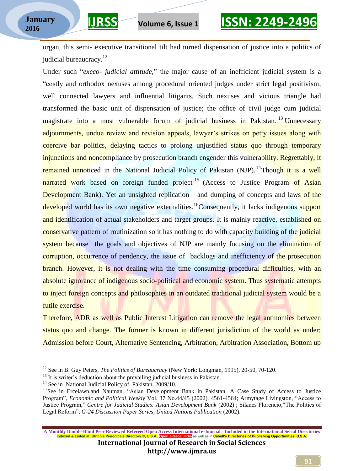organ, this semi- executive transitional tilt had turned dispensation of justice into a politics of judicial bureaucracy.<sup>12</sup>

Under such "*execo- judicial attitude,*" the major cause of an inefficient judicial system is a "costly and orthodox nexuses among procedural oriented judges under strict legal positivism, well connected lawyers and influential litigants. Such nexuses and vicious triangle had transformed the basic unit of dispensation of justice; the office of civil judge cum judicial magistrate into a most vulnerable forum of judicial business in Pakistan.<sup>13</sup> Unnecessary adjournments, undue review and revision appeals, lawyer"s strikes on petty issues along with coercive bar politics, delaying tactics to prolong unjustified status quo through temporary injunctions and noncompliance by prosecution branch engender this vulnerability. Regrettably, it remained unnoticed in the National Judicial Policy of Pakistan (NJP).<sup>14</sup>Though it is a well narrated work based on foreign funded project<sup>15</sup> (Access to Justice Program of Asian Development Bank). Yet an unsighted replication and dumping of concepts and laws of the developed world has its own negative externalities.<sup>16</sup>Consequently, it lacks indigenous support and identification of actual stakeholders and target groups. It is mainly reactive, established on conservative pattern of routinization so it has nothing to do with capacity building of the judicial system because the goals and objectives of NJP are mainly focusing on the elimination of corruption, occurrence of pendency, the issue of backlogs and inefficiency of the prosecution branch. However, it is not dealing with the time consuming procedural difficulties, with an absolute ignorance of indigenous socio-political and economic system. Thus systematic attempts to inject foreign concepts and philosophies in an outdated traditional judicial system would be a futile exercise.

Therefore, ADR as well as Public Interest Litigation can remove the legal antinomies between status quo and change. The former is known in different jurisdiction of the world as under; Admission before Court, Alternative Sentencing, Arbitration, Arbitration Association, Bottom up

 $\overline{a}$ 

<sup>12</sup> See in B. Guy Peters, *The Politics of Bureaucracy* (New York: Longman, 1995), 20-50, 70-120.

 $13$  It is writer's deduction about the prevailing judicial business in Pakistan.

<sup>&</sup>lt;sup>14</sup> See in National Judicial Policy of Pakistan, 2009/10.

<sup>&</sup>lt;sup>15</sup> See in Ercelawn.and Nauman, "Asian Development Bank in Pakistan, A Case Study of Access to Justice Program", *Economic and Political Weekly* Vol. 37 No.44/45 (2002), 4561-4564; Armytage Livingston, "Access to Justice Program," *Centre for Judicial Studies: Asian Development Bank* (2002) ; Silanes Florencio,"The Politics of Legal Reform", *G-24 Discussion Paper Series, United Nations Publication* (2002).

**A Monthly Double-Blind Peer Reviewed Refereed Open Access International e-Journal - Included in the International Serial Directories India** as well as in <mark>Cabell's Directories of Publishing Opportunities, U.S.A.</mark>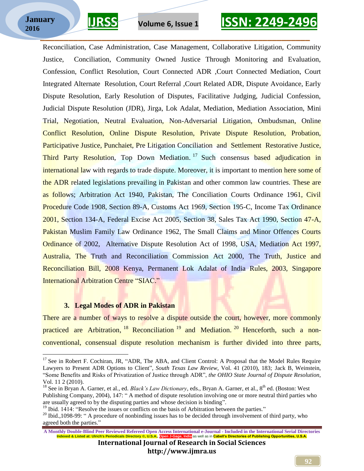### **\_\_\_\_\_\_\_\_\_\_\_\_\_\_\_\_\_\_\_\_\_\_\_\_\_\_\_\_\_\_\_\_\_\_\_\_\_\_\_\_\_\_\_\_\_\_\_\_\_\_\_\_\_\_\_\_\_ January 2016**

 $\overline{a}$ 

## **IJRSS Volume 6, Issue 1 ISSN: 2249-2496**

Reconciliation, Case Administration, Case Management, Collaborative Litigation, Community Justice, Conciliation, Community Owned Justice Through Monitoring and Evaluation, Confession, Conflict Resolution, Court Connected ADR ,Court Connected Mediation, Court Integrated Alternate Resolution, Court Referral ,Court Related ADR, Dispute Avoidance, Early Dispute Resolution, Early Resolution of Disputes, Facilitative Judging, Judicial Confession, Judicial Dispute Resolution (JDR), Jirga, Lok Adalat, Mediation, Mediation Association, Mini Trial, Negotiation, Neutral Evaluation, Non-Adversarial Litigation, Ombudsman, Online Conflict Resolution, Online Dispute Resolution, Private Dispute Resolution, Probation, Participative Justice, Punchaiet, Pre Litigation Conciliation and Settlement Restorative Justice, Third Party Resolution, Top Down Mediation.<sup>17</sup> Such consensus based adjudication in international law with regards to trade dispute. Moreover, it is important to mention here some of the ADR related legislations prevailing in Pakistan and other common law countries. These are as follows; Arbitration Act 1940, Pakistan, The Conciliation Courts Ordinance 1961, Civil Procedure Code 1908, Section 89-A, Customs Act 1969, Section 195-C, Income Tax Ordinance 2001, Section 134-A, Federal Excise Act 2005, Section 38, Sales Tax Act 1990, Section 47-A, Pakistan Muslim Family Law Ordinance 1962, The Small Claims and Minor Offences Courts Ordinance of 2002, Alternative Dispute Resolution Act of 1998, USA, Mediation Act 1997, Australia, The Truth and Reconciliation Commission Act 2000, The Truth, Justice and Reconciliation Bill, 2008 Kenya, Permanent Lok Adalat of India Rules, 2003, Singapore International Arbitration Centre "SIAC."

#### **3. Legal Modes of ADR in Pakistan**

There are a number of ways to resolve a dispute outside the court, however, more commonly practiced are Arbitration, <sup>18</sup> Reconciliation <sup>19</sup> and Mediation.<sup>20</sup> Henceforth, such a nonconventional, consensual dispute resolution mechanism is further divided into three parts,

<sup>&</sup>lt;sup>17</sup> See in Robert F. Cochiran, JR, "ADR, The ABA, and Client Control: A Proposal that the Model Rules Require Lawyers to Present ADR Options to Client"*, South Texas Law Review*, Vol. 41 (2010), 183; Jack B, Weinstein, "Some Benefits and Risks of Privatization of Justice through ADR", *the OHIO State Journal of Dispute Resolution,*  Vol. 11 2 (2010).

<sup>&</sup>lt;sup>18</sup> See in Bryan A. Garner, et al., ed. *Black's Law Dictionary*, eds., Bryan A. Garner, et al., 8<sup>th</sup> ed. (Boston: West Publishing Company, 2004), 147: " A method of dispute resolution involving one or more neutral third parties who are usually agreed to by the disputing parties and whose decision is binding".

<sup>&</sup>lt;sup>19</sup> Ibid. 1414: "Resolve the issues or conflicts on the basis of Arbitration between the parties."

<sup>&</sup>lt;sup>20</sup> Ibid.,1098-99: " A procedure of nonbinding issues has to be decided through involvement of third party, who agreed both the parties."

**A Monthly Double-Blind Peer Reviewed Refereed Open Access International e-Journal - Included in the International Serial Directories** India as well as in <mark>Cabell's Directories of Publi</mark>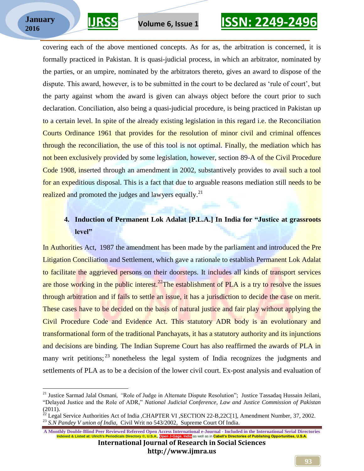$\overline{a}$ 



# **IJRSS Volume 6, Issue 1 ISSN: 2249-2496**

covering each of the above mentioned concepts. As for as, the arbitration is concerned, it is formally practiced in Pakistan. It is quasi-judicial process, in which an arbitrator, nominated by the parties, or an umpire, nominated by the arbitrators thereto, gives an award to dispose of the dispute. This award, however, is to be submitted in the court to be declared as "rule of court", but the party against whom the award is given can always object before the court prior to such declaration. Conciliation, also being a quasi-judicial procedure, is being practiced in Pakistan up to a certain level. In spite of the already existing legislation in this regard i.e. the Reconciliation Courts Ordinance 1961 that provides for the resolution of minor civil and criminal offences through the reconciliation, the use of this tool is not optimal. Finally, the mediation which has not been exclusively provided by some legislation, however, section 89-A of the Civil Procedure Code 1908, inserted through an amendment in 2002, substantively provides to avail such a tool for an expeditious disposal. This is a fact that due to arguable reasons mediation still needs to be realized and promoted the judges and lawyers equally.<sup>21</sup>

### **4. Induction of Permanent Lok Adalat [P.L.A.] In India for "Justice at grassroots level"**

In Authorities Act, 1987 the amendment has been made by the parliament and introduced the Pre Litigation Conciliation and Settlement, which gave a rationale to establish Permanent Lok Adalat to facilitate the aggrieved persons on their doorsteps. It includes all kinds of transport services are those working in the public interest.<sup>22</sup>The establishment of PLA is a try to resolve the issues through arbitration and if fails to settle an issue, it has a jurisdiction to decide the case on merit. These cases have to be decided on the basis of natural justice and fair play without applying the Civil Procedure Code and Evidence Act. This statutory ADR body is an evolutionary and transformational form of the traditional Panchayats, it has a statutory authority and its injunctions and decisions are binding. The Indian Supreme Court has also reaffirmed the awards of PLA in many writ petitions; <sup>23</sup> nonetheless the legal system of India recognizes the judgments and settlements of PLA as to be a decision of the lower civil court. Ex-post analysis and evaluation of

**A Monthly Double-Blind Peer Reviewed Refereed Open Access International e-Journal - Included in the International Serial Directories India** as well as in <mark>Cabell's Dir</mark>



<sup>21</sup> Justice Sarmad Jalal Osmani*, "*Role of Judge in Alternate Dispute Resolution"; Justice Tassadaq Hussain Jeilani, "Delayed Justice and the Role of ADR," *National Judicial Conference, Law and Justice Commission of Pakistan*   $(2011)$ .

<sup>22</sup> Legal Service Authorities Act of India ,CHAPTER VI ,SECTION 22-B,22C[1], Amendment Number, 37, 2002. <sup>23</sup> *S.N Pandey V union of India,* Civil Writ no 543/2002, Supreme Court Of India.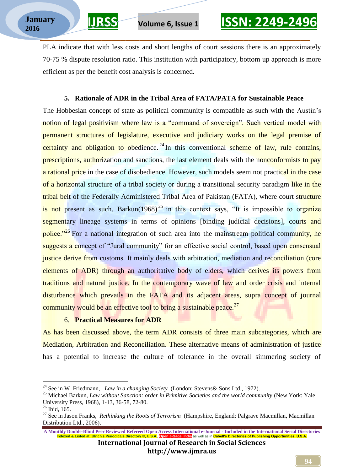PLA indicate that with less costs and short lengths of court sessions there is an approximately 70-75 % dispute resolution ratio. This institution with participatory, bottom up approach is more efficient as per the benefit cost analysis is concerned.

### **5. Rationale of ADR in the Tribal Area of FATA/PATA for Sustainable Peace**

The Hobbesian concept of state as political community is compatible as such with the Austin's notion of legal positivism where law is a "command of sovereign". Such vertical model with permanent structures of legislature, executive and judiciary works on the legal premise of certainty and obligation to obedience.<sup>24</sup> In this conventional scheme of law, rule contains, prescriptions, authorization and sanctions, the last element deals with the nonconformists to pay a rational price in the case of disobedience. However, such models seem not practical in the case of a horizontal structure of a tribal society or during a transitional security paradigm like in the tribal belt of the Federally Administered Tribal Area of Pakistan (FATA), where court structure is not present as such. Barkun $(1968)^{25}$  in this context says, "It is impossible to organize segmentary lineage systems in terms of opinions [binding judicial decisions], courts and police."<sup>26</sup> For a national integration of such area into the mainstream political community, he suggests a concept of "Jural community" for an effective social control, based upon consensual justice derive from customs. It mainly deals with arbitration, mediation and reconciliation (core elements of ADR) through an authoritative body of elders, which derives its powers from traditions and natural justice. In the contemporary wave of law and order crisis and internal disturbance which prevails in the FATA and its adjacent areas, supra concept of journal community would be an effective tool to bring a sustainable peace.<sup>27</sup>

### 6. **Practical Measures for ADR**

As has been discussed above, the term ADR consists of three main subcategories, which are Mediation, Arbitration and Reconciliation. These alternative means of administration of justice has a potential to increase the culture of tolerance in the overall simmering society of

 $\overline{a}$ 

**A Monthly Double-Blind Peer Reviewed Refereed Open Access International e-Journal - Included in the International Serial Directories**<br>Included **A** Listed at Ulrich's Periodicals Directory © U.S.A. Open Legace, Incila<sup>1</sup>as **India** as well as in <mark>Cabell's Dir</mark>

<sup>24</sup> See in W Friedmann, *Law in a changing Society* (London: Stevens& Sons Ltd., 1972).

<sup>25</sup> Michael Barkun, *Law without Sanction: order in Primitive Societies and the world community* (New York: Yale University Press, 1968), 1-13, 36-58, 72-80.

<sup>26</sup> Ibid, 165.

<sup>27</sup> See in Jason Franks, *Rethinking the Roots of Terrorism* (Hampshire, England: Palgrave Macmillan, Macmillan Distribution Ltd., 2006).